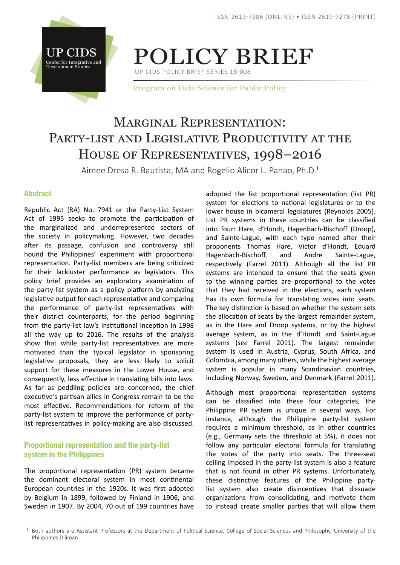



UP CIDS POLICY BRIEF SERIES 18-008

Program on Data Science for Public Policy

# MARGINAL REPRESENTATION: PARTY-LIST AND LEGISLATIVE PRODUCTIVITY AT THE House of Representatives, 1998–2016

Aimee Dresa R. Bautista, MA and Rogelio Alicor L. Panao, Ph.D.<sup>1</sup>

## Abstract

Republic Act (RA) No. 7941 or the Party-List System Act of 1995 seeks to promote the participation of the marginalized and underrepresented sectors of the society in policymaking. However, two decades after its passage, confusion and controversy still hound the Philippines' experiment with proportional representation. Party-list members are being criticized for their lackluster performance as legislators. This policy brief provides an exploratory examination of the party-list system as a policy platform by analyzing legislative output for each representative and comparing the performance of party-list representatives with their district counterparts, for the period beginning from the party-list law's institutional inception in 1998 all the way up to 2016. The results of the analysis show that while party-list representatives are more motivated than the typical legislator in sponsoring legislative proposals, they are less likely to solicit support for these measures in the Lower House, and consequently, less effective in translating bills into laws. As far as peddling policies are concerned, the chief executive's partisan allies in Congress remain to be the most effective. Recommendations for reform of the party-list system to improve the performance of partylist representatives in policy-making are also discussed.

# Proportional representation and the party-list system in the Philippines

The proportional representation (PR) system became the dominant electoral system in most continental European countries in the 1920s. It was first adopted by Belgium in 1899, followed by Finland in 1906, and Sweden in 1907. By 2004, 70 out of 199 countries have

adopted the list proportional representation (list PR) system for elections to national legislatures or to the lower house in bicameral legislatures (Reynolds 2005). List PR systems in these countries can be classified into four: Hare, d'Hondt, Hagenbach-Bischoff (Droop), and Sainte-Lague, with each type named after their proponents Thomas Hare, Victor d'Hondt, Eduard Hagenbach-Bischoff, and Andre Sainte-Lague, respectively (Farrel 2011). Although all the list PR systems are intended to ensure that the seats given to the winning parties are proportional to the votes that they had received in the elections, each system has its own formula for translating votes into seats. The key distinction is based on whether the system sets the allocation of seats by the largest remainder system, as in the Hare and Droop systems, or by the highest average system, as in the d'Hondt and Saint-Lague systems (*see* Farrel 2011). The largest remainder system is used in Austria, Cyprus, South Africa, and Colombia, among many others, while the highest average system is popular in many Scandinavian countries, including Norway, Sweden, and Denmark (Farrel 2011).

Although most proportional representation systems can be classified into these four categories, the Philippine PR system is unique in several ways. For instance, although the Philippine party-list system requires a minimum threshold, as in other countries (e.g., Germany sets the threshold at 5%), it does not follow any particular electoral formula for translating the votes of the party into seats. The three-seat ceiling imposed in the party-list system is also a feature that is not found in other PR systems. Unfortunately, these distinctive features of the Philippine partylist system also create disincentives that dissuade organizations from consolidating, and motivate them to instead create smaller parties that will allow them

<sup>&</sup>lt;sup>1</sup> Both authors are Assistant Professors at the Department of Political Science, College of Social Sciences and Philosophy, University of the Philippines Diliman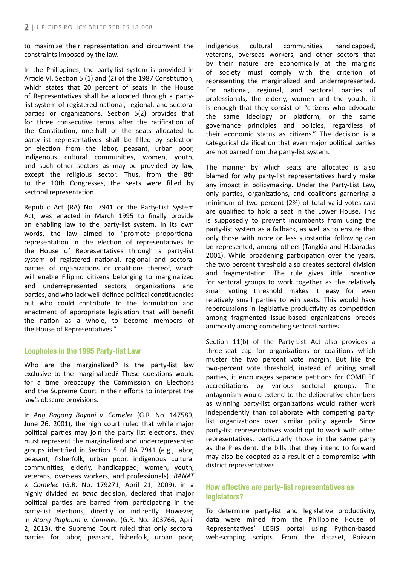to maximize their representation and circumvent the constraints imposed by the law.

In the Philippines, the party-list system is provided in Article VI, Section 5 (1) and (2) of the 1987 Constitution, which states that 20 percent of seats in the House of Representatives shall be allocated through a partylist system of registered national, regional, and sectoral parties or organizations. Section 5(2) provides that for three consecutive terms after the ratification of the Constitution, one-half of the seats allocated to party-list representatives shall be filled by selection or election from the labor, peasant, urban poor, indigenous cultural communities, women, youth, and such other sectors as may be provided by law, except the religious sector. Thus, from the 8th to the 10th Congresses, the seats were filled by sectoral representation.

Republic Act (RA) No. 7941 or the Party-List System Act, was enacted in March 1995 to finally provide an enabling law to the party-list system. In its own words, the law aimed to "promote proportional representation in the election of representatives to the House of Representatives through a party-list system of registered national, regional and sectoral parties of organizations or coalitions thereof, which will enable Filipino citizens belonging to marginalized and underrepresented sectors, organizations and parties, and who lack well-defined political constituencies but who could contribute to the formulation and enactment of appropriate legislation that will benefit the nation as a whole, to become members of the House of Representatives."

### Loopholes in the 1995 Party-list Law

Who are the marginalized? Is the party-list law exclusive to the marginalized? These questions would for a time preoccupy the Commission on Elections and the Supreme Court in their efforts to interpret the law's obscure provisions.

In *Ang Bagong Bayani v. Comelec* (G.R. No. 147589, June 26, 2001), the high court ruled that while major political parties may join the party list elections, they must represent the marginalized and underrepresented groups identified in Section 5 of RA 7941 (e.g., labor, peasant, fisherfolk, urban poor, indigenous cultural communities, elderly, handicapped, women, youth, veterans, overseas workers, and professionals). *BANAT v. Comelec* (G.R. No. 179271, April 21, 2009), in a highly divided *en banc* decision, declared that major political parties are barred from participating in the party-list elections, directly or indirectly. However, in *Atong Paglaum v. Comelec* (G.R. No. 203766, April 2, 2013), the Supreme Court ruled that only sectoral parties for labor, peasant, fisherfolk, urban poor, indigenous cultural communities, handicapped, veterans, overseas workers, and other sectors that by their nature are economically at the margins of society must comply with the criterion of representing the marginalized and underrepresented. For national, regional, and sectoral parties of professionals, the elderly, women and the youth, it is enough that they consist of "citizens who advocate the same ideology or platform, or the same governance principles and policies, regardless of their economic status as citizens." The decision is a categorical clarification that even major political parties are not barred from the party-list system.

The manner by which seats are allocated is also blamed for why party-list representatives hardly make any impact in policymaking. Under the Party-List Law, only parties, organizations, and coalitions garnering a minimum of two percent (2%) of total valid votes cast are qualified to hold a seat in the Lower House. This is supposedly to prevent incumbents from using the party-list system as a fallback, as well as to ensure that only those with more or less substantial following can be represented, among others (Tangkia and Habaradas 2001). While broadening participation over the years, the two percent threshold also creates sectoral division and fragmentation. The rule gives little incentive for sectoral groups to work together as the relatively small voting threshold makes it easy for even relatively small parties to win seats. This would have repercussions in legislative productivity as competition among fragmented issue-based organizations breeds animosity among competing sectoral parties.

Section 11(b) of the Party-List Act also provides a three-seat cap for organizations or coalitions which muster the two percent vote margin. But like the two-percent vote threshold, instead of uniting small parties, it encourages separate petitions for COMELEC accreditations by various sectoral groups. The antagonism would extend to the deliberative chambers as winning party-list organizations would rather work independently than collaborate with competing partylist organizations over similar policy agenda. Since party-list representatives would opt to work with other representatives, particularly those in the same party as the President, the bills that they intend to forward may also be coopted as a result of a compromise with district representatives.

## How effective are party-list representatives as legislators?

To determine party-list and legislative productivity, data were mined from the Philippine House of Representatives' LEGIS portal using Python-based web-scraping scripts. From the dataset, Poisson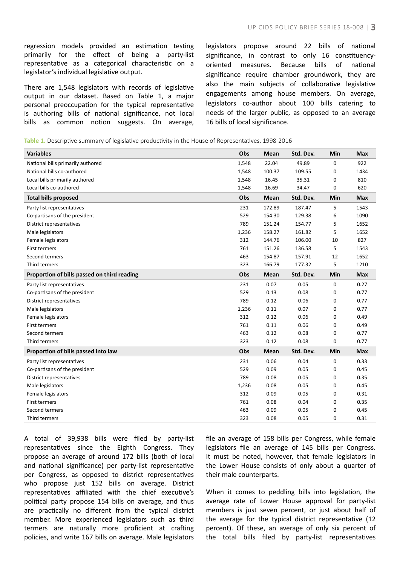regression models provided an estimation testing primarily for the effect of being a party-list representative as a categorical characteristic on a legislator's individual legislative output.

There are 1,548 legislators with records of legislative output in our dataset. Based on Table 1, a major personal preoccupation for the typical representative is authoring bills of national significance, not local bills as common notion suggests. On average, legislators propose around 22 bills of national significance, in contrast to only 16 constituencyoriented measures. Because bills of national significance require chamber groundwork, they are also the main subjects of collaborative legislative engagements among house members. On average, legislators co-author about 100 bills catering to needs of the larger public, as opposed to an average 16 bills of local significance.

**Table 1.** Descriptive summary of legislative productivity in the House of Representatives, 1998-2016

| <b>Variables</b>                            | Obs   | Mean        | Std. Dev. | Min | <b>Max</b> |
|---------------------------------------------|-------|-------------|-----------|-----|------------|
| National bills primarily authored           | 1,548 | 22.04       | 49.89     | 0   | 922        |
| National bills co-authored                  | 1,548 | 100.37      | 109.55    | 0   | 1434       |
| Local bills primarily authored              | 1,548 | 16.45       | 35.31     | 0   | 810        |
| Local bills co-authored                     | 1,548 | 16.69       | 34.47     | 0   | 620        |
| <b>Total bills proposed</b>                 | Obs   | Mean        | Std. Dev. | Min | <b>Max</b> |
| Party list representatives                  | 231   | 172.89      | 187.47    | 5   | 1543       |
| Co-partisans of the president               | 529   | 154.30      | 129.38    | 6   | 1090       |
| District representatives                    | 789   | 151.24      | 154.77    | 5   | 1652       |
| Male legislators                            | 1,236 | 158.27      | 161.82    | 5   | 1652       |
| Female legislators                          | 312   | 144.76      | 106.00    | 10  | 827        |
| <b>First termers</b>                        | 761   | 151.26      | 136.58    | 5   | 1543       |
| Second termers                              | 463   | 154.87      | 157.91    | 12  | 1652       |
| Third termers                               | 323   | 166.79      | 177.32    | 5   | 1210       |
| Proportion of bills passed on third reading | Obs   | Mean        | Std. Dev. | Min | <b>Max</b> |
| Party list representatives                  | 231   | 0.07        | 0.05      | 0   | 0.27       |
| Co-partisans of the president               | 529   | 0.13        | 0.08      | 0   | 0.77       |
| District representatives                    | 789   | 0.12        | 0.06      | 0   | 0.77       |
| Male legislators                            | 1,236 | 0.11        | 0.07      | 0   | 0.77       |
| Female legislators                          | 312   | 0.12        | 0.06      | 0   | 0.49       |
| <b>First termers</b>                        | 761   | 0.11        | 0.06      | 0   | 0.49       |
| Second termers                              | 463   | 0.12        | 0.08      | 0   | 0.77       |
| Third termers                               | 323   | 0.12        | 0.08      | 0   | 0.77       |
| Proportion of bills passed into law         | Obs   | <b>Mean</b> | Std. Dev. | Min | <b>Max</b> |
| Party list representatives                  | 231   | 0.06        | 0.04      | 0   | 0.33       |
| Co-partisans of the president               | 529   | 0.09        | 0.05      | 0   | 0.45       |
| District representatives                    | 789   | 0.08        | 0.05      | 0   | 0.35       |
| Male legislators                            | 1,236 | 0.08        | 0.05      | 0   | 0.45       |
| Female legislators                          | 312   | 0.09        | 0.05      | 0   | 0.31       |
| <b>First termers</b>                        | 761   | 0.08        | 0.04      | 0   | 0.35       |
| Second termers                              | 463   | 0.09        | 0.05      | 0   | 0.45       |
| Third termers                               | 323   | 0.08        | 0.05      | 0   | 0.31       |

A total of 39,938 bills were filed by party-list representatives since the Eighth Congress. They propose an average of around 172 bills (both of local and national significance) per party-list representative per Congress, as opposed to district representatives who propose just 152 bills on average. District representatives affiliated with the chief executive's political party propose 154 bills on average, and thus are practically no different from the typical district member. More experienced legislators such as third termers are naturally more proficient at crafting policies, and write 167 bills on average. Male legislators

file an average of 158 bills per Congress, while female legislators file an average of 145 bills per Congress. It must be noted, however, that female legislators in the Lower House consists of only about a quarter of their male counterparts.

When it comes to peddling bills into legislation, the average rate of Lower House approval for party-list members is just seven percent, or just about half of the average for the typical district representative (12 percent). Of these, an average of only six percent of the total bills filed by party-list representatives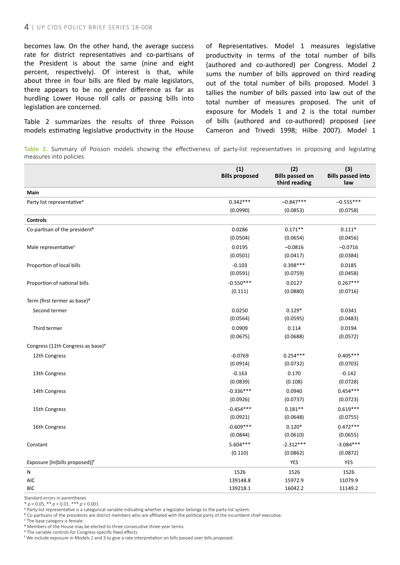becomes law. On the other hand, the average success rate for district representatives and co-partisans of the President is about the same (nine and eight percent, respectively). Of interest is that, while about three in four bills are filed by male legislators, there appears to be no gender difference as far as hurdling Lower House roll calls or passing bills into legislation are concerned.

Table 2 summarizes the results of three Poisson models estimating legislative productivity in the House of Representatives. Model 1 measures legislative productivity in terms of the total number of bills (authored and co-authored) per Congress. Model 2 sums the number of bills approved on third reading out of the total number of bills proposed. Model 3 tallies the number of bills passed into law out of the total number of measures proposed. The unit of exposure for Models 1 and 2 is the total number of bills (authored and co-authored) proposed (*see* Cameron and Trivedi 1998; Hilbe 2007). Model 1

**Table 2.** Summary of Poisson models showing the effectiveness of party-list representatives in proposing and legislating measures into policies

|                                               | (1)<br><b>Bills proposed</b> | (2)<br><b>Bills passed on</b><br>third reading | (3)<br><b>Bills passed into</b><br>law |
|-----------------------------------------------|------------------------------|------------------------------------------------|----------------------------------------|
| Main                                          |                              |                                                |                                        |
| Party list representative <sup>®</sup>        | $0.342***$                   | $-0.847***$                                    | $-0.555***$                            |
|                                               | (0.0990)                     | (0.0853)                                       | (0.0758)                               |
| <b>Controls</b>                               |                              |                                                |                                        |
| Co-partisan of the president <sup>b</sup>     | 0.0286                       | $0.171**$                                      | $0.111*$                               |
|                                               | (0.0504)                     | (0.0654)                                       | (0.0456)                               |
| Male representative <sup>c</sup>              | 0.0195                       | $-0.0816$                                      | $-0.0716$                              |
|                                               | (0.0501)                     | (0.0417)                                       | (0.0384)                               |
| Proportion of local bills                     | $-0.103$                     | $0.398***$                                     | 0.0185                                 |
|                                               | (0.0591)                     | (0.0759)                                       | (0.0458)                               |
| Proportion of national bills                  | $-0.550***$                  | 0.0127                                         | $0.267***$                             |
|                                               | (0.111)                      | (0.0880)                                       | (0.0716)                               |
| Term (first termer as base) <sup>d</sup>      |                              |                                                |                                        |
| Second termer                                 | 0.0250                       | $0.129*$                                       | 0.0341                                 |
|                                               | (0.0564)                     | (0.0595)                                       | (0.0483)                               |
| Third termer                                  | 0.0909                       | 0.114                                          | 0.0194                                 |
|                                               | (0.0675)                     | (0.0688)                                       | (0.0572)                               |
| Congress (11th Congress as base) <sup>e</sup> |                              |                                                |                                        |
| 12th Congress                                 | $-0.0769$                    | $0.254***$                                     | $0.405***$                             |
|                                               | (0.0914)                     | (0.0732)                                       | (0.0703)                               |
| 13th Congress                                 | $-0.163$                     | 0.170                                          | $-0.142$                               |
|                                               | (0.0839)                     | (0.108)                                        | (0.0728)                               |
| 14th Congress                                 | $-0.336***$                  | 0.0940                                         | $0.454***$                             |
|                                               | (0.0926)                     | (0.0737)                                       | (0.0723)                               |
| 15th Congress                                 | $-0.454***$                  | $0.181**$                                      | $0.619***$                             |
|                                               | (0.0921)                     | (0.0648)                                       | (0.0755)                               |
| 16th Congress                                 | $-0.609***$                  | $0.120*$                                       | $0.472***$                             |
|                                               | (0.0844)                     | (0.0610)                                       | (0.0655)                               |
| Constant                                      | 5.604***                     | $-2.312***$                                    | $-3.084***$                            |
|                                               | (0.110)                      | (0.0862)                                       | (0.0872)                               |
| Exposure [In(bills proposed)] <sup>f</sup>    |                              | <b>YES</b>                                     | <b>YES</b>                             |
| N                                             | 1526                         | 1526                                           | 1526                                   |
| <b>AIC</b>                                    | 139148.8                     | 15972.9                                        | 11079.9                                |
| <b>BIC</b>                                    | 139218.1                     | 16042.2                                        | 11149.2                                |

Standard errors in parentheses

\* *p* < 0.05, \*\* *p* < 0.01, \*\*\* *p* < 0.001

a Party-list representative is a categorical variable indicating whether a legislator belongs to the party-list system.

**b** Co-partisans of the presidents are district members who are affiliated with the political party of the incumbent chief executive.

c The base category is female.

d Members of the House may be elected to three consecutive three-year terms.

e The variable controls for Congress-specific fixed effects

f We include exposure in Models 2 and 3 to give a rate interpretation on bills passed over bills proposed.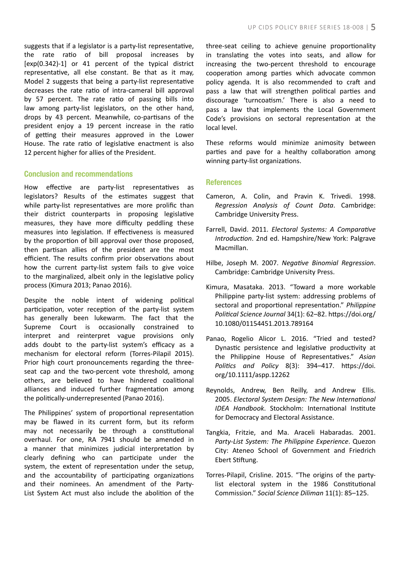suggests that if a legislator is a party-list representative, the rate ratio of bill proposal increases by  $[exp(0.342)-1]$  or 41 percent of the typical district representative, all else constant. Be that as it may, Model 2 suggests that being a party-list representative decreases the rate ratio of intra-cameral bill approval by 57 percent. The rate ratio of passing bills into law among party-list legislators, on the other hand, drops by 43 percent. Meanwhile, co-partisans of the president enjoy a 19 percent increase in the ratio of getting their measures approved in the Lower House. The rate ratio of legislative enactment is also 12 percent higher for allies of the President.

#### Conclusion and recommendations

How effective are party-list representatives as legislators? Results of the estimates suggest that while party-list representatives are more prolific than their district counterparts in proposing legislative measures, they have more difficulty peddling these measures into legislation. If effectiveness is measured by the proportion of bill approval over those proposed, then partisan allies of the president are the most efficient. The results confirm prior observations about how the current party-list system fails to give voice to the marginalized, albeit only in the legislative policy process (Kimura 2013; Panao 2016).

Despite the noble intent of widening political participation, voter reception of the party-list system has generally been lukewarm. The fact that the Supreme Court is occasionally constrained to interpret and reinterpret vague provisions only adds doubt to the party-list system's efficacy as a mechanism for electoral reform (Torres-Pilapil 2015). Prior high court pronouncements regarding the threeseat cap and the two-percent vote threshold, among others, are believed to have hindered coalitional alliances and induced further fragmentation among the politically-underrepresented (Panao 2016).

The Philippines' system of proportional representation may be flawed in its current form, but its reform may not necessarily be through a constitutional overhaul. For one, RA 7941 should be amended in a manner that minimizes judicial interpretation by clearly defining who can participate under the system, the extent of representation under the setup, and the accountability of participating organizations and their nominees. An amendment of the Party-List System Act must also include the abolition of the

three-seat ceiling to achieve genuine proportionality in translating the votes into seats, and allow for increasing the two-percent threshold to encourage cooperation among parties which advocate common policy agenda. It is also recommended to craft and pass a law that will strengthen political parties and discourage 'turncoatism.' There is also a need to pass a law that implements the Local Government Code's provisions on sectoral representation at the local level.

These reforms would minimize animosity between parties and pave for a healthy collaboration among winning party-list organizations.

### **References**

- Cameron, A. Colin, and Pravin K. Trivedi. 1998. *Regression Analysis of Count Data*. Cambridge: Cambridge University Press.
- Farrell, David. 2011. *Electoral Systems: A Comparative Introduction*. 2nd ed. Hampshire/New York: Palgrave Macmillan.
- Hilbe, Joseph M. 2007. *Negative Binomial Regression*. Cambridge: Cambridge University Press.
- Kimura, Masataka. 2013. "Toward a more workable Philippine party-list system: addressing problems of sectoral and proportional representation." *Philippine Political Science Journal* 34(1): 62–82. https://doi.org/ 10.1080/01154451.2013.789164
- Panao, Rogelio Alicor L. 2016. "Tried and tested? Dynastic persistence and legislative productivity at the Philippine House of Representatives." *Asian Politics and Policy* 8(3): 394–417. https://doi. org/10.1111/aspp.12262
- Reynolds, Andrew, Ben Reilly, and Andrew Ellis. 2005. *Electoral System Design: The New International IDEA Handbook*. Stockholm: International Institute for Democracy and Electoral Assistance.
- Tangkia, Fritzie, and Ma. Araceli Habaradas. 2001. *Party-List System: The Philippine Experience*. Quezon City: Ateneo School of Government and Friedrich Ebert Stiftung.
- Torres-Pilapil, Crisline. 2015. "The origins of the partylist electoral system in the 1986 Constitutional Commission." *Social Science Diliman* 11(1): 85–125.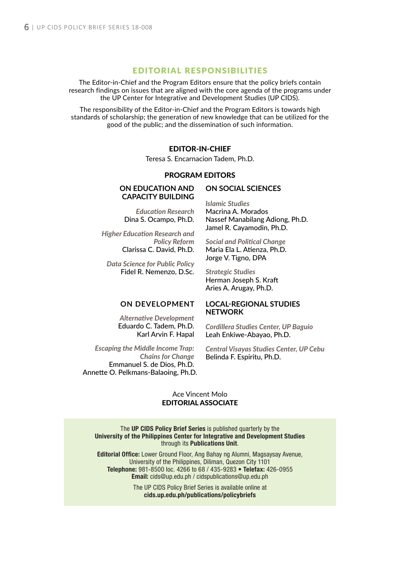### EDITORIAL RESPONSIBILITIES

The Editor-in-Chief and the Program Editors ensure that the policy briefs contain research findings on issues that are aligned with the core agenda of the programs under the UP Center for Integrative and Development Studies (UP CIDS).

The responsibility of the Editor-in-Chief and the Program Editors is towards high standards of scholarship; the generation of new knowledge that can be utilized for the good of the public; and the dissemination of such information.

### EDITOR-IN-CHIEF

Teresa S. Encarnacion Tadem, Ph.D.

### PROGRAM EDITORS

#### **ON EDUCATION AND CAPACITY BUILDING**

*Education Research* Dina S. Ocampo, Ph.D.

*Higher Education Research and Policy Reform* Clarissa C. David, Ph.D.

*Data Science for Public Policy* Fidel R. Nemenzo, D.Sc.

> *Alternative Development* Eduardo C. Tadem, Ph.D. Karl Arvin F. Hapal

# **ON SOCIAL SCIENCES**

*Islamic Studies* Macrina A. Morados Nassef Manabilang Adiong, Ph.D. Jamel R. Cayamodin, Ph.D.

*Social and Political Change* Maria Ela L. Atienza, Ph.D. Jorge V. Tigno, DPA

*Strategic Studies* Herman Joseph S. Kraft Aries A. Arugay, Ph.D.

#### **ON DEVELOPMENT LOCAL-REGIONAL STUDIES NETWORK**

*Cordillera Studies Center, UP Baguio* Leah Enkiwe-Abayao, Ph.D.

*Escaping the Middle Income Trap: Chains for Change* Emmanuel S. de Dios, Ph.D. Annette O. Pelkmans-Balaoing, Ph.D.

*Central Visayas Studies Center, UP Cebu* Belinda F. Espiritu, Ph.D.

### Ace Vincent Molo EDITORIAL ASSOCIATE

The UP CIDS Policy Brief Series is published quarterly by the University of the Philippines Center for Integrative and Development Studies through its Publications Unit.

Editorial Office: Lower Ground Floor, Ang Bahay ng Alumni, Magsaysay Avenue, University of the Philippines, Diliman, Quezon City 1101 Telephone: 981-8500 loc. 4266 to 68 / 435-9283 • Telefax: 426-0955 Email: cids@up.edu.ph / cidspublications@up.edu.ph

> The UP CIDS Policy Brief Series is available online at cids.up.edu.ph/publications/policybriefs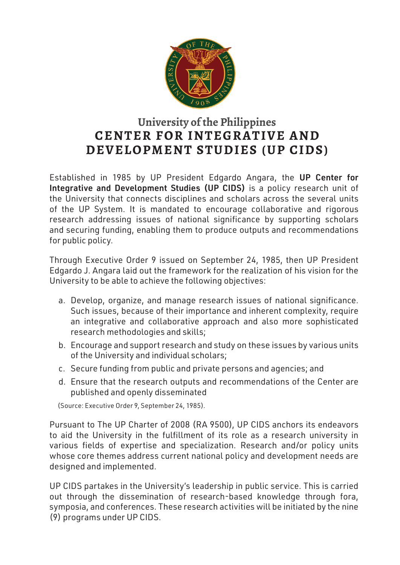

# **University of the Philippines CENTER FOR INTEGRATIVE AND DEVELOPMENT STUDIES (UP CIDS)**

Established in 1985 by UP President Edgardo Angara, the UP Center for Integrative and Development Studies (UP CIDS) is a policy research unit of the University that connects disciplines and scholars across the several units of the UP System. It is mandated to encourage collaborative and rigorous research addressing issues of national significance by supporting scholars and securing funding, enabling them to produce outputs and recommendations for public policy.

Through Executive Order 9 issued on September 24, 1985, then UP President Edgardo J. Angara laid out the framework for the realization of his vision for the University to be able to achieve the following objectives:

- a. Develop, organize, and manage research issues of national significance. Such issues, because of their importance and inherent complexity, require an integrative and collaborative approach and also more sophisticated research methodologies and skills;
- b. Encourage and support research and study on these issues by various units of the University and individual scholars;
- c. Secure funding from public and private persons and agencies; and
- d. Ensure that the research outputs and recommendations of the Center are published and openly disseminated

(Source: Executive Order 9, September 24, 1985).

Pursuant to The UP Charter of 2008 (RA 9500), UP CIDS anchors its endeavors to aid the University in the fulfillment of its role as a research university in various fields of expertise and specialization. Research and/or policy units whose core themes address current national policy and development needs are designed and implemented.

UP CIDS partakes in the University's leadership in public service. This is carried out through the dissemination of research-based knowledge through fora, symposia, and conferences. These research activities will be initiated by the nine (9) programs under UP CIDS.